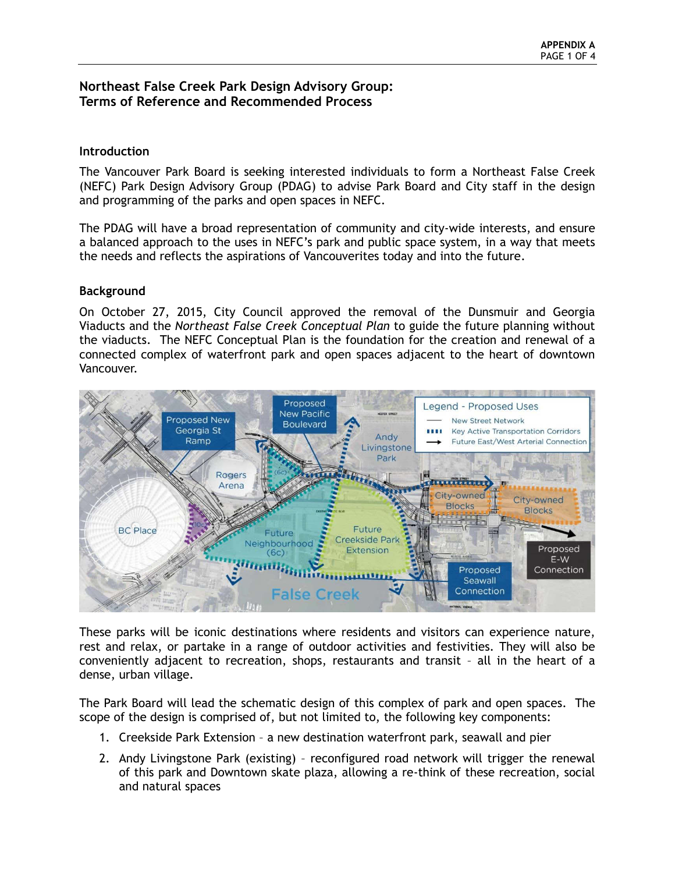# **Northeast False Creek Park Design Advisory Group: Terms of Reference and Recommended Process**

### **Introduction**

The Vancouver Park Board is seeking interested individuals to form a Northeast False Creek (NEFC) Park Design Advisory Group (PDAG) to advise Park Board and City staff in the design and programming of the parks and open spaces in NEFC.

The PDAG will have a broad representation of community and city-wide interests, and ensure a balanced approach to the uses in NEFC's park and public space system, in a way that meets the needs and reflects the aspirations of Vancouverites today and into the future.

### **Background**

On October 27, 2015, City Council approved the removal of the Dunsmuir and Georgia Viaducts and the *Northeast False Creek Conceptual Plan* to guide the future planning without the viaducts. The NEFC Conceptual Plan is the foundation for the creation and renewal of a connected complex of waterfront park and open spaces adjacent to the heart of downtown Vancouver.



These parks will be iconic destinations where residents and visitors can experience nature, rest and relax, or partake in a range of outdoor activities and festivities. They will also be conveniently adjacent to recreation, shops, restaurants and transit – all in the heart of a dense, urban village.

The Park Board will lead the schematic design of this complex of park and open spaces. The scope of the design is comprised of, but not limited to, the following key components:

- 1. Creekside Park Extension a new destination waterfront park, seawall and pier
- 2. Andy Livingstone Park (existing) reconfigured road network will trigger the renewal of this park and Downtown skate plaza, allowing a re-think of these recreation, social and natural spaces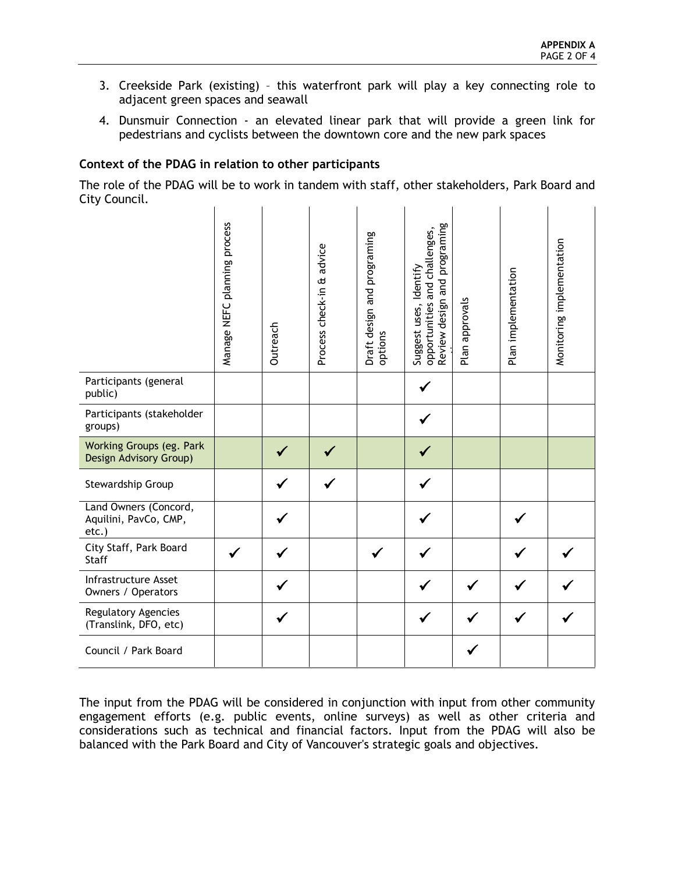- 3. Creekside Park (existing) this waterfront park will play a key connecting role to adjacent green spaces and seawall
- 4. Dunsmuir Connection an elevated linear park that will provide a green link for pedestrians and cyclists between the downtown core and the new park spaces

## **Context of the PDAG in relation to other participants**

The role of the PDAG will be to work in tandem with staff, other stakeholders, Park Board and City Council.

|                                                         | NEFC planning process<br>Manage | Outreach | advice<br>Process check-in & | Draft design and programing<br>options | programing<br>and challenges,<br>ldentify<br>and<br>Review design<br>opportunities<br>Suggest uses, | Plan approvals | Plan implementation | Monitoring implementation |
|---------------------------------------------------------|---------------------------------|----------|------------------------------|----------------------------------------|-----------------------------------------------------------------------------------------------------|----------------|---------------------|---------------------------|
| Participants (general<br>public)                        |                                 |          |                              |                                        |                                                                                                     |                |                     |                           |
| Participants (stakeholder<br>groups)                    |                                 |          |                              |                                        |                                                                                                     |                |                     |                           |
| Working Groups (eg. Park<br>Design Advisory Group)      |                                 |          |                              |                                        |                                                                                                     |                |                     |                           |
| Stewardship Group                                       |                                 |          |                              |                                        |                                                                                                     |                |                     |                           |
| Land Owners (Concord,<br>Aquilini, PavCo, CMP,<br>etc.) |                                 |          |                              |                                        |                                                                                                     |                |                     |                           |
| City Staff, Park Board<br><b>Staff</b>                  |                                 |          |                              |                                        |                                                                                                     |                |                     |                           |
| Infrastructure Asset<br>Owners / Operators              |                                 |          |                              |                                        |                                                                                                     |                |                     |                           |
| Regulatory Agencies<br>(Translink, DFO, etc)            |                                 |          |                              |                                        |                                                                                                     |                |                     |                           |
| Council / Park Board                                    |                                 |          |                              |                                        |                                                                                                     |                |                     |                           |

The input from the PDAG will be considered in conjunction with input from other community engagement efforts (e.g. public events, online surveys) as well as other criteria and considerations such as technical and financial factors. Input from the PDAG will also be balanced with the Park Board and City of Vancouver's strategic goals and objectives.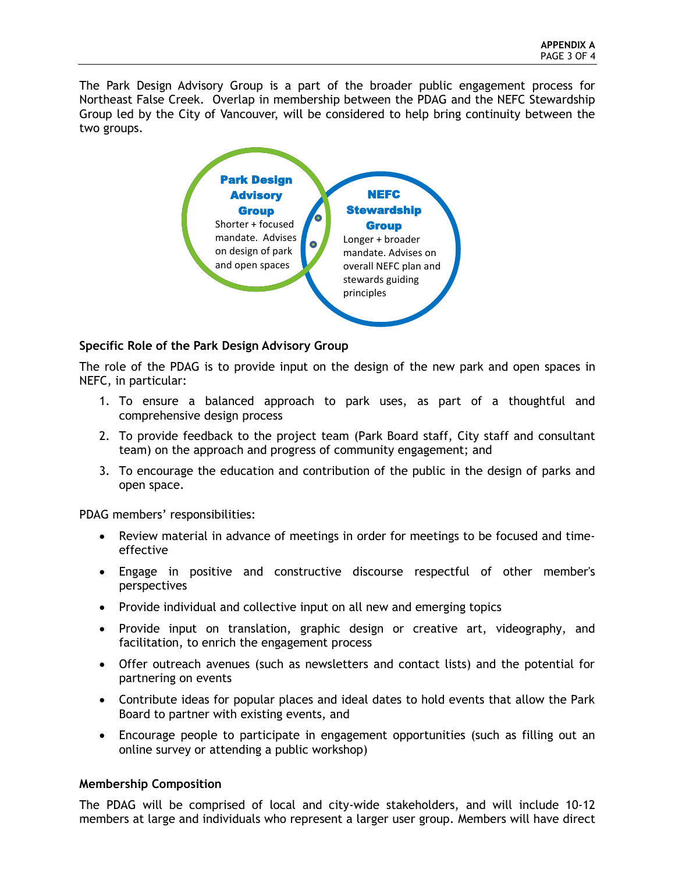The Park Design Advisory Group is a part of the broader public engagement process for Northeast False Creek. Overlap in membership between the PDAG and the NEFC Stewardship Group led by the City of Vancouver, will be considered to help bring continuity between the two groups.



# **Specific Role of the Park Design Advisory Group**

The role of the PDAG is to provide input on the design of the new park and open spaces in NEFC, in particular:

- 1. To ensure a balanced approach to park uses, as part of a thoughtful and comprehensive design process
- 2. To provide feedback to the project team (Park Board staff, City staff and consultant team) on the approach and progress of community engagement; and
- 3. To encourage the education and contribution of the public in the design of parks and open space.

PDAG members' responsibilities:

- Review material in advance of meetings in order for meetings to be focused and timeeffective
- Engage in positive and constructive discourse respectful of other member's perspectives
- Provide individual and collective input on all new and emerging topics
- Provide input on translation, graphic design or creative art, videography, and facilitation, to enrich the engagement process
- Offer outreach avenues (such as newsletters and contact lists) and the potential for partnering on events
- Contribute ideas for popular places and ideal dates to hold events that allow the Park Board to partner with existing events, and
- Encourage people to participate in engagement opportunities (such as filling out an online survey or attending a public workshop)

## **Membership Composition**

The PDAG will be comprised of local and city-wide stakeholders, and will include 10-12 members at large and individuals who represent a larger user group. Members will have direct